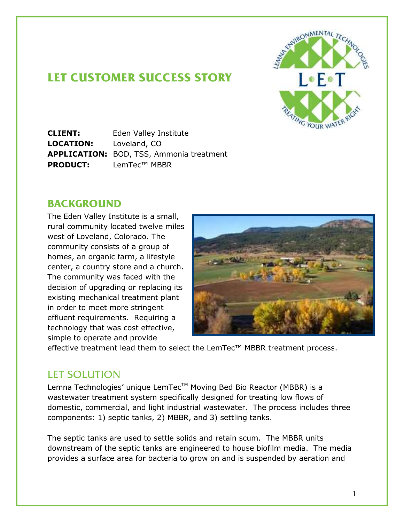

## **LET CUSTOMER SUCCESS STORY**

**CLIENT:** Eden Valley Institute **LOCATION:** Loveland, CO **APPLICATION:** BOD, TSS, Ammonia treatment **PRODUCT:** LemTec™ MBBR

## **BACKGROUND**

The Eden Valley Institute is a small, rural community located twelve miles west of Loveland, Colorado. The community consists of a group of homes, an organic farm, a lifestyle center, a country store and a church. The community was faced with the decision of upgrading or replacing its existing mechanical treatment plant in order to meet more stringent effluent requirements. Requiring a technology that was cost effective, simple to operate and provide



effective treatment lead them to select the LemTec™ MBBR treatment process.

## LET SOLUTION

Lemna Technologies' unique LemTec™ Moving Bed Bio Reactor (MBBR) is a wastewater treatment system specifically designed for treating low flows of domestic, commercial, and light industrial wastewater. The process includes three components: 1) septic tanks, 2) MBBR, and 3) settling tanks.

The septic tanks are used to settle solids and retain scum. The MBBR units downstream of the septic tanks are engineered to house biofilm media. The media provides a surface area for bacteria to grow on and is suspended by aeration and